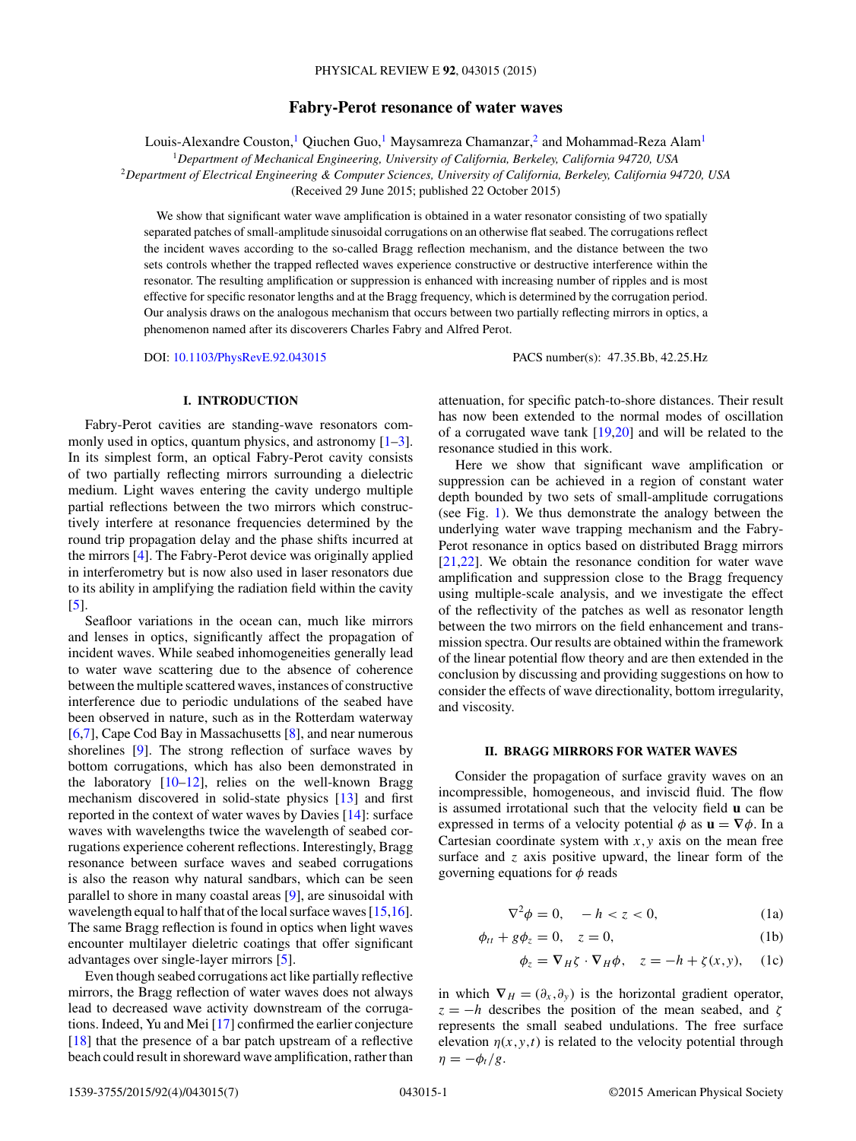# **Fabry-Perot resonance of water waves**

<span id="page-0-0"></span>Louis-Alexandre Couston,<sup>1</sup> Qiuchen Guo,<sup>1</sup> Maysamreza Chamanzar,<sup>2</sup> and Mohammad-Reza Alam<sup>1</sup>

<sup>1</sup>*Department of Mechanical Engineering, University of California, Berkeley, California 94720, USA*

<sup>2</sup>*Department of Electrical Engineering & Computer Sciences, University of California, Berkeley, California 94720, USA*

(Received 29 June 2015; published 22 October 2015)

We show that significant water wave amplification is obtained in a water resonator consisting of two spatially separated patches of small-amplitude sinusoidal corrugations on an otherwise flat seabed. The corrugations reflect the incident waves according to the so-called Bragg reflection mechanism, and the distance between the two sets controls whether the trapped reflected waves experience constructive or destructive interference within the resonator. The resulting amplification or suppression is enhanced with increasing number of ripples and is most effective for specific resonator lengths and at the Bragg frequency, which is determined by the corrugation period. Our analysis draws on the analogous mechanism that occurs between two partially reflecting mirrors in optics, a phenomenon named after its discoverers Charles Fabry and Alfred Perot.

DOI: [10.1103/PhysRevE.92.043015](http://dx.doi.org/10.1103/PhysRevE.92.043015) PACS number(s): 47*.*35*.*Bb*,* 42*.*25*.*Hz

# **I. INTRODUCTION**

Fabry-Perot cavities are standing-wave resonators commonly used in optics, quantum physics, and astronomy  $[1-3]$ . In its simplest form, an optical Fabry-Perot cavity consists of two partially reflecting mirrors surrounding a dielectric medium. Light waves entering the cavity undergo multiple partial reflections between the two mirrors which constructively interfere at resonance frequencies determined by the round trip propagation delay and the phase shifts incurred at the mirrors [\[4\]](#page-5-0). The Fabry-Perot device was originally applied in interferometry but is now also used in laser resonators due to its ability in amplifying the radiation field within the cavity [\[5\]](#page-6-0).

Seafloor variations in the ocean can, much like mirrors and lenses in optics, significantly affect the propagation of incident waves. While seabed inhomogeneities generally lead to water wave scattering due to the absence of coherence between the multiple scattered waves, instances of constructive interference due to periodic undulations of the seabed have been observed in nature, such as in the Rotterdam waterway [\[6,7\]](#page-6-0), Cape Cod Bay in Massachusetts [\[8\]](#page-6-0), and near numerous shorelines [\[9\]](#page-6-0). The strong reflection of surface waves by bottom corrugations, which has also been demonstrated in the laboratory  $[10-12]$ , relies on the well-known Bragg mechanism discovered in solid-state physics [\[13\]](#page-6-0) and first reported in the context of water waves by Davies [\[14\]](#page-6-0): surface waves with wavelengths twice the wavelength of seabed corrugations experience coherent reflections. Interestingly, Bragg resonance between surface waves and seabed corrugations is also the reason why natural sandbars, which can be seen parallel to shore in many coastal areas [\[9\]](#page-6-0), are sinusoidal with wavelength equal to half that of the local surface waves [\[15,16\]](#page-6-0). The same Bragg reflection is found in optics when light waves encounter multilayer dieletric coatings that offer significant advantages over single-layer mirrors [\[5\]](#page-6-0).

Even though seabed corrugations act like partially reflective mirrors, the Bragg reflection of water waves does not always lead to decreased wave activity downstream of the corrugations. Indeed, Yu and Mei [\[17\]](#page-6-0) confirmed the earlier conjecture [\[18\]](#page-6-0) that the presence of a bar patch upstream of a reflective beach could result in shoreward wave amplification, rather than attenuation, for specific patch-to-shore distances. Their result has now been extended to the normal modes of oscillation of a corrugated wave tank [\[19,20\]](#page-6-0) and will be related to the resonance studied in this work.

Here we show that significant wave amplification or suppression can be achieved in a region of constant water depth bounded by two sets of small-amplitude corrugations (see Fig. [1\)](#page-1-0). We thus demonstrate the analogy between the underlying water wave trapping mechanism and the Fabry-Perot resonance in optics based on distributed Bragg mirrors [\[21,22\]](#page-6-0). We obtain the resonance condition for water wave amplification and suppression close to the Bragg frequency using multiple-scale analysis, and we investigate the effect of the reflectivity of the patches as well as resonator length between the two mirrors on the field enhancement and transmission spectra. Our results are obtained within the framework of the linear potential flow theory and are then extended in the conclusion by discussing and providing suggestions on how to consider the effects of wave directionality, bottom irregularity, and viscosity.

### **II. BRAGG MIRRORS FOR WATER WAVES**

Consider the propagation of surface gravity waves on an incompressible, homogeneous, and inviscid fluid. The flow is assumed irrotational such that the velocity field **u** can be expressed in terms of a velocity potential  $\phi$  as  $\mathbf{u} = \nabla \phi$ . In a Cartesian coordinate system with  $x, y$  axis on the mean free surface and *z* axis positive upward, the linear form of the governing equations for *φ* reads

$$
\nabla^2 \phi = 0, \quad -h < z < 0,\tag{1a}
$$

$$
\phi_{tt} + g\phi_z = 0, \quad z = 0,\tag{1b}
$$

$$
\phi_z = \nabla_H \zeta \cdot \nabla_H \phi, \quad z = -h + \zeta(x, y), \quad (1c)
$$

in which  $\nabla_H = (\partial_x, \partial_y)$  is the horizontal gradient operator,  $z = -h$  describes the position of the mean seabed, and  $\zeta$ represents the small seabed undulations. The free surface elevation  $\eta(x, y, t)$  is related to the velocity potential through  $\eta = -\phi_t/g$ .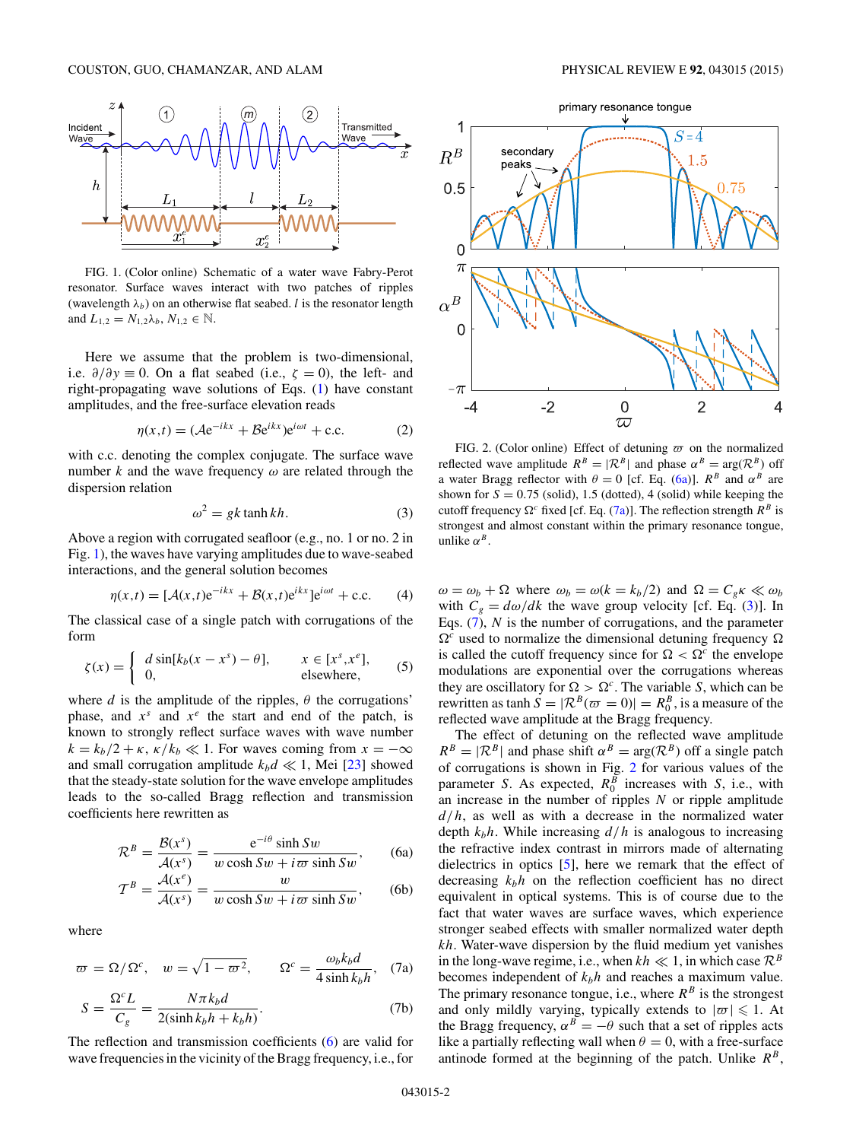<span id="page-1-0"></span>

FIG. 1. (Color online) Schematic of a water wave Fabry-Perot resonator. Surface waves interact with two patches of ripples (wavelength  $\lambda_b$ ) on an otherwise flat seabed. *l* is the resonator length and  $L_{1,2} = N_{1,2} \lambda_b, N_{1,2} \in \mathbb{N}$ .

Here we assume that the problem is two-dimensional, i.e.  $\partial/\partial y \equiv 0$ . On a flat seabed (i.e.,  $\zeta = 0$ ), the left- and right-propagating wave solutions of Eqs. [\(1\)](#page-0-0) have constant amplitudes, and the free-surface elevation reads

$$
\eta(x,t) = (Ae^{-ikx} + Be^{ikx})e^{i\omega t} + c.c.
$$
 (2)

with c.c. denoting the complex conjugate. The surface wave number *k* and the wave frequency *ω* are related through the dispersion relation

$$
\omega^2 = gk \tanh kh. \tag{3}
$$

Above a region with corrugated seafloor (e.g., no. 1 or no. 2 in Fig. 1), the waves have varying amplitudes due to wave-seabed interactions, and the general solution becomes

$$
\eta(x,t) = [\mathcal{A}(x,t)e^{-ikx} + \mathcal{B}(x,t)e^{ikx}]e^{i\omega t} + \text{c.c.}
$$
 (4)

The classical case of a single patch with corrugations of the form

$$
\zeta(x) = \begin{cases} d \sin[k_b(x - x^s) - \theta], & x \in [x^s, x^e], \\ 0, & \text{elsewhere,} \end{cases}
$$
 (5)

where *d* is the amplitude of the ripples,  $\theta$  the corrugations' phase, and  $x^s$  and  $x^e$  the start and end of the patch, is known to strongly reflect surface waves with wave number  $k = k_b/2 + \kappa$ ,  $\kappa/k_b \ll 1$ . For waves coming from  $x = -\infty$ and small corrugation amplitude  $k_b d \ll 1$ , Mei [\[23\]](#page-6-0) showed that the steady-state solution for the wave envelope amplitudes leads to the so-called Bragg reflection and transmission coefficients here rewritten as

$$
\mathcal{R}^{B} = \frac{\mathcal{B}(x^{s})}{\mathcal{A}(x^{s})} = \frac{e^{-i\theta}\sinh Sw}{w\cosh Sw + i\omega\sinh Sw},
$$
 (6a)

$$
\mathcal{T}^{B} = \frac{\mathcal{A}(x^{e})}{\mathcal{A}(x^{s})} = \frac{w}{w \cosh Sw + i\,\varpi \sinh Sw},
$$
 (6b)

where

$$
\varpi = \Omega/\Omega^c
$$
,  $w = \sqrt{1 - \varpi^2}$ ,  $\Omega^c = \frac{\omega_b k_b d}{4 \sinh k_b h}$ , (7a)

$$
S = \frac{\Omega^c L}{C_g} = \frac{N\pi k_b d}{2(\sinh k_b h + k_b h)}.
$$
 (7b)

The reflection and transmission coefficients (6) are valid for wave frequencies in the vicinity of the Bragg frequency, i.e., for



FIG. 2. (Color online) Effect of detuning  $\varpi$  on the normalized reflected wave amplitude  $R^B = |\mathcal{R}^B|$  and phase  $\alpha^B = \text{arg}(\mathcal{R}^B)$  off a water Bragg reflector with  $\theta = 0$  [cf. Eq. (6a)].  $R^B$  and  $\alpha^B$  are shown for  $S = 0.75$  (solid), 1.5 (dotted), 4 (solid) while keeping the cutoff frequency  $\Omega^c$  fixed [cf. Eq. (7a)]. The reflection strength  $R^B$  is strongest and almost constant within the primary resonance tongue, unlike  $\alpha^B$ .

 $\omega = \omega_b + \Omega$  where  $\omega_b = \omega(k = k_b/2)$  and  $\Omega = C_g \kappa \ll \omega_b$ with  $C_g = d\omega/dk$  the wave group velocity [cf. Eq. (3)]. In Eqs. (7), *N* is the number of corrugations, and the parameter  $\Omega^c$  used to normalize the dimensional detuning frequency  $\Omega$ is called the cutoff frequency since for  $\Omega < \Omega^c$  the envelope modulations are exponential over the corrugations whereas they are oscillatory for  $\Omega > \Omega^c$ . The variable *S*, which can be rewritten as  $\tanh S = |\mathcal{R}^B(\omega) = 0| = R_0^B$ , is a measure of the reflected wave amplitude at the Bragg frequency.

The effect of detuning on the reflected wave amplitude  $R^B = |\mathcal{R}^B|$  and phase shift  $\alpha^B = \arg(\mathcal{R}^B)$  off a single patch of corrugations is shown in Fig. 2 for various values of the parameter *S*. As expected,  $R_0^B$  increases with *S*, i.e., with an increase in the number of ripples *N* or ripple amplitude *d/h*, as well as with a decrease in the normalized water depth  $k_h h$ . While increasing  $d/h$  is analogous to increasing the refractive index contrast in mirrors made of alternating dielectrics in optics [\[5\]](#page-6-0), here we remark that the effect of decreasing  $k_b h$  on the reflection coefficient has no direct equivalent in optical systems. This is of course due to the fact that water waves are surface waves, which experience stronger seabed effects with smaller normalized water depth *kh*. Water-wave dispersion by the fluid medium yet vanishes in the long-wave regime, i.e., when  $kh \ll 1$ , in which case  $\mathcal{R}^B$ becomes independent of  $k<sub>b</sub>h$  and reaches a maximum value. The primary resonance tongue, i.e., where  $R^B$  is the strongest and only mildly varying, typically extends to  $|\varpi| \leq 1$ . At the Bragg frequency,  $\alpha^B = -\theta$  such that a set of ripples acts like a partially reflecting wall when  $\theta = 0$ , with a free-surface antinode formed at the beginning of the patch. Unlike  $R^B$ ,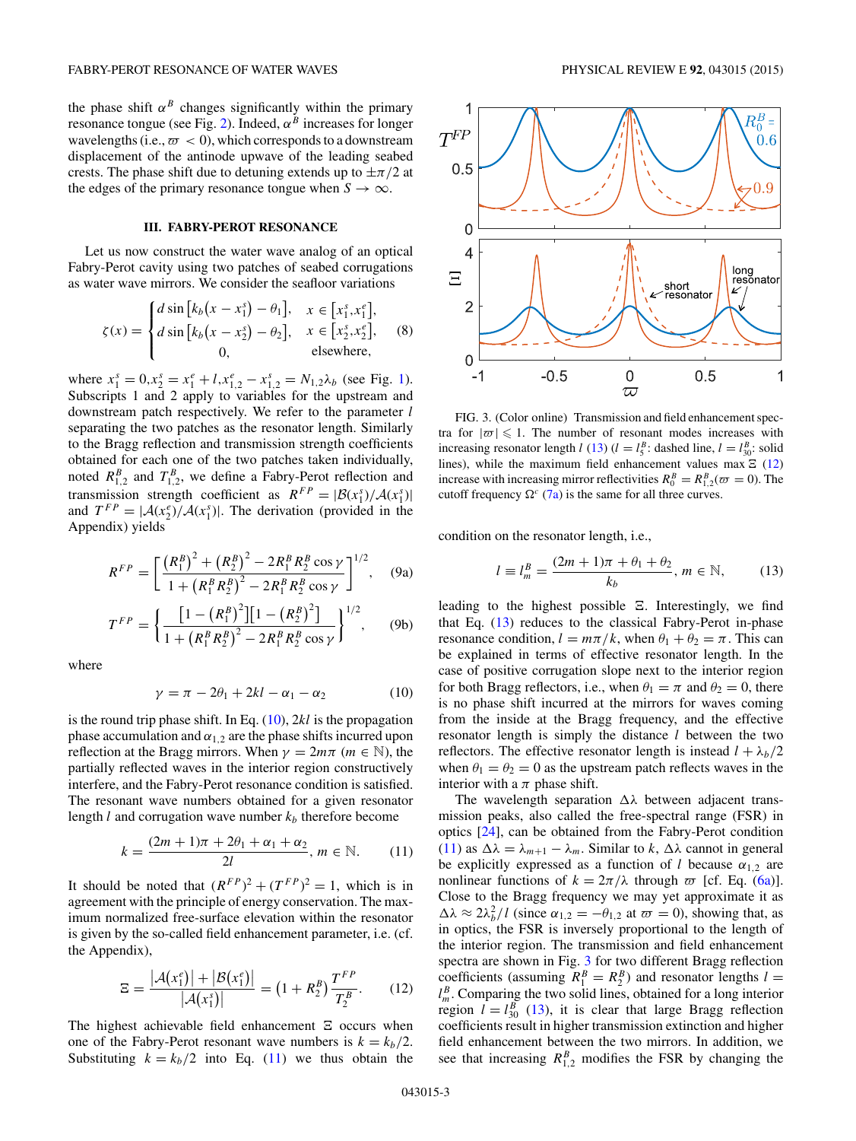<span id="page-2-0"></span>the phase shift  $\alpha^B$  changes significantly within the primary resonance tongue (see Fig. [2\)](#page-1-0). Indeed,  $\alpha^B$  increases for longer wavelengths (i.e.,  $\varpi < 0$ ), which corresponds to a downstream displacement of the antinode upwave of the leading seabed crests. The phase shift due to detuning extends up to  $\pm \pi/2$  at the edges of the primary resonance tongue when  $S \to \infty$ .

# **III. FABRY-PEROT RESONANCE**

Let us now construct the water wave analog of an optical Fabry-Perot cavity using two patches of seabed corrugations as water wave mirrors. We consider the seafloor variations

$$
\zeta(x) = \begin{cases} d\sin\left[k_b(x - x_1^s) - \theta_1\right], & x \in \left[x_1^s, x_1^e\right], \\ d\sin\left[k_b(x - x_2^s) - \theta_2\right], & x \in \left[x_2^s, x_2^e\right], \\ 0, & \text{elsewhere,} \end{cases}
$$
 (8)

where  $x_1^s = 0, x_2^s = x_1^e + l, x_{1,2}^e - x_{1,2}^s = N_{1,2} \lambda_b$  (see Fig. [1\)](#page-1-0). Subscripts 1 and 2 apply to variables for the upstream and downstream patch respectively. We refer to the parameter *l* separating the two patches as the resonator length. Similarly to the Bragg reflection and transmission strength coefficients obtained for each one of the two patches taken individually, noted  $R_{1,2}^B$  and  $T_{1,2}^B$ , we define a Fabry-Perot reflection and transmission strength coefficient as  $R^{FP} = \frac{|\mathcal{B}(x_1^s)/\mathcal{A}(x_1^s)|}{|\mathcal{B}(x_1^s)|}$ and  $T^{FP} = |\mathcal{A}(x_2^e)/\mathcal{A}(x_1^s)|$ . The derivation (provided in the Appendix) yields

$$
R^{FP} = \left[ \frac{(R_1^B)^2 + (R_2^B)^2 - 2R_1^B R_2^B \cos \gamma}{1 + (R_1^B R_2^B)^2 - 2R_1^B R_2^B \cos \gamma} \right]^{1/2}, \quad (9a)
$$

$$
T^{FP} = \left\{ \frac{\left[1 - \left(R_1^B\right)^2\right]\left[1 - \left(R_2^B\right)^2\right]}{1 + \left(R_1^B R_2^B\right)^2 - 2R_1^B R_2^B \cos \gamma} \right\}^{1/2},\qquad(9b)
$$

where

$$
\gamma = \pi - 2\theta_1 + 2kl - \alpha_1 - \alpha_2 \tag{10}
$$

is the round trip phase shift. In Eq. (10), 2*kl* is the propagation phase accumulation and  $\alpha_{1,2}$  are the phase shifts incurred upon reflection at the Bragg mirrors. When  $\gamma = 2m\pi$  ( $m \in \mathbb{N}$ ), the partially reflected waves in the interior region constructively interfere, and the Fabry-Perot resonance condition is satisfied. The resonant wave numbers obtained for a given resonator length  $l$  and corrugation wave number  $k_b$  therefore become

$$
k = \frac{(2m+1)\pi + 2\theta_1 + \alpha_1 + \alpha_2}{2l}, \, m \in \mathbb{N}.
$$
 (11)

It should be noted that  $(R^{FP})^2 + (T^{FP})^2 = 1$ , which is in agreement with the principle of energy conservation. The maximum normalized free-surface elevation within the resonator is given by the so-called field enhancement parameter, i.e. (cf. the Appendix),

$$
\Xi = \frac{|\mathcal{A}(x_1^e)| + |\mathcal{B}(x_1^e)|}{|\mathcal{A}(x_1^s)|} = (1 + R_2^B) \frac{T^{FP}}{T_2^B}.
$$
 (12)

The highest achievable field enhancement  $E$  occurs when one of the Fabry-Perot resonant wave numbers is  $k = k_b/2$ . Substituting  $k = k_b/2$  into Eq. (11) we thus obtain the



FIG. 3. (Color online) Transmission and field enhancement spectra for  $|\varpi| \leq 1$ . The number of resonant modes increases with increasing resonator length *l* (13) (*l* =  $l_5^B$ : dashed line, *l* =  $l_{30}^B$ : solid lines), while the maximum field enhancement values max  $\Xi$  (12) increase with increasing mirror reflectivities  $R_0^B = R_{1,2}^B(\omega = 0)$ . The cutoff frequency  $\Omega^c$  [\(7a\)](#page-1-0) is the same for all three curves.

condition on the resonator length, i.e.,

$$
l \equiv l_m^B = \frac{(2m+1)\pi + \theta_1 + \theta_2}{k_b}, \, m \in \mathbb{N}, \tag{13}
$$

leading to the highest possible  $\Sigma$ . Interestingly, we find that Eq. (13) reduces to the classical Fabry-Perot in-phase resonance condition,  $l = m\pi/k$ , when  $\theta_1 + \theta_2 = \pi$ . This can be explained in terms of effective resonator length. In the case of positive corrugation slope next to the interior region for both Bragg reflectors, i.e., when  $\theta_1 = \pi$  and  $\theta_2 = 0$ , there is no phase shift incurred at the mirrors for waves coming from the inside at the Bragg frequency, and the effective resonator length is simply the distance *l* between the two reflectors. The effective resonator length is instead  $l + \lambda_b/2$ when  $\theta_1 = \theta_2 = 0$  as the upstream patch reflects waves in the interior with a  $\pi$  phase shift.

The wavelength separation *λ* between adjacent transmission peaks, also called the free-spectral range (FSR) in optics [\[24\]](#page-6-0), can be obtained from the Fabry-Perot condition (11) as  $\Delta \lambda = \lambda_{m+1} - \lambda_m$ . Similar to *k*,  $\Delta \lambda$  cannot in general be explicitly expressed as a function of *l* because  $\alpha_{1,2}$  are nonlinear functions of  $k = 2\pi/\lambda$  through  $\varpi$  [cf. Eq. [\(6a\)](#page-1-0)]. Close to the Bragg frequency we may yet approximate it as  $\Delta\lambda \approx 2\lambda_b^2/l$  (since  $\alpha_{1,2} = -\theta_{1,2}$  at  $\overline{\omega} = 0$ ), showing that, as in optics, the FSR is inversely proportional to the length of the interior region. The transmission and field enhancement spectra are shown in Fig. 3 for two different Bragg reflection coefficients (assuming  $R_1^B = R_2^B$ ) and resonator lengths  $l =$  $l_m^B$ . Comparing the two solid lines, obtained for a long interior region  $l = l_{30}^B$  (13), it is clear that large Bragg reflection coefficients result in higher transmission extinction and higher field enhancement between the two mirrors. In addition, we see that increasing  $R_{1,2}^B$  modifies the FSR by changing the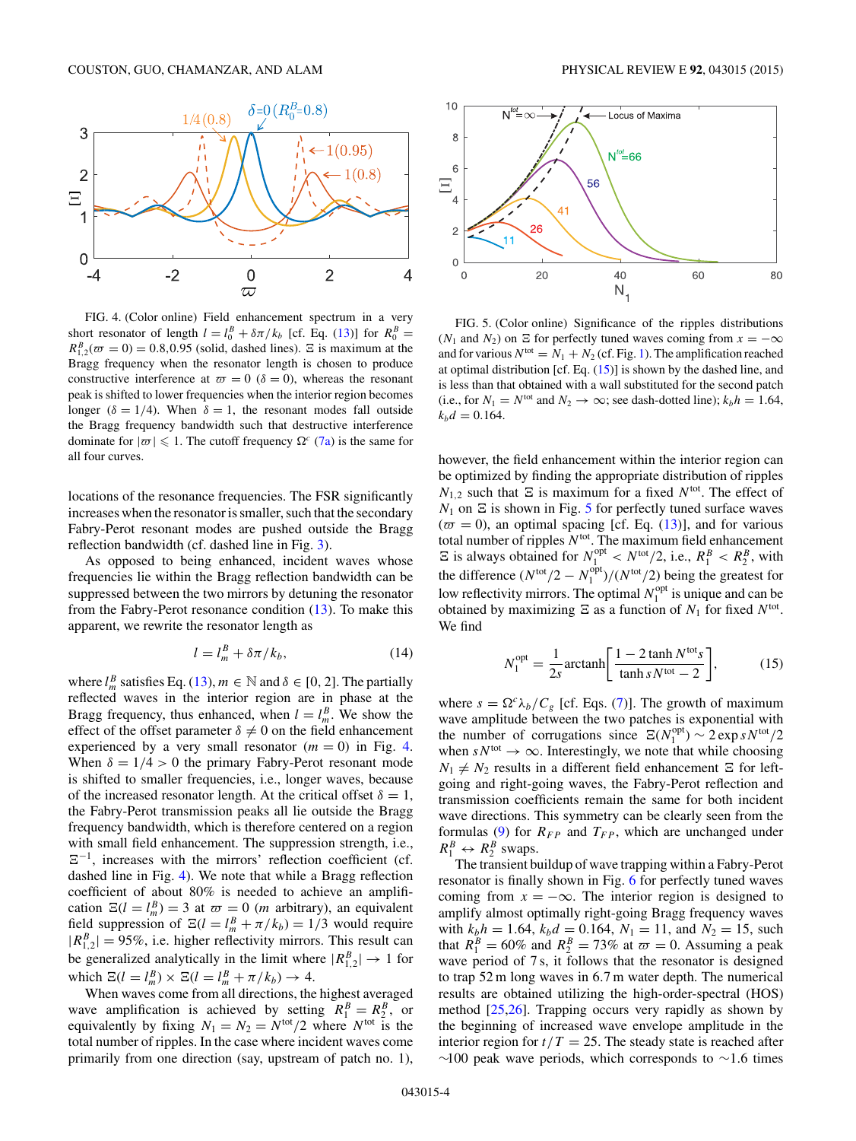<span id="page-3-0"></span>

FIG. 4. (Color online) Field enhancement spectrum in a very short resonator of length  $l = l_0^B + \delta \pi / k_b$  [cf. Eq. [\(13\)](#page-2-0)] for  $R_0^B =$  $R_{1,2}^{B}(\omega = 0) = 0.8, 0.95$  (solid, dashed lines).  $\Xi$  is maximum at the Bragg frequency when the resonator length is chosen to produce constructive interference at  $\varpi = 0$  ( $\delta = 0$ ), whereas the resonant peak is shifted to lower frequencies when the interior region becomes longer ( $\delta = 1/4$ ). When  $\delta = 1$ , the resonant modes fall outside the Bragg frequency bandwidth such that destructive interference dominate for  $|\varpi| \leq 1$ . The cutoff frequency  $\Omega^c$  [\(7a\)](#page-1-0) is the same for all four curves.

locations of the resonance frequencies. The FSR significantly increases when the resonator is smaller, such that the secondary Fabry-Perot resonant modes are pushed outside the Bragg reflection bandwidth (cf. dashed line in Fig. [3\)](#page-2-0).

As opposed to being enhanced, incident waves whose frequencies lie within the Bragg reflection bandwidth can be suppressed between the two mirrors by detuning the resonator from the Fabry-Perot resonance condition [\(13\)](#page-2-0). To make this apparent, we rewrite the resonator length as

$$
l = l_m^B + \delta \pi / k_b, \qquad (14)
$$

where  $l_m^B$  satisfies Eq. [\(13\)](#page-2-0),  $m \in \mathbb{N}$  and  $\delta \in [0, 2]$ . The partially reflected waves in the interior region are in phase at the Bragg frequency, thus enhanced, when  $l = l_m^B$ . We show the effect of the offset parameter  $\delta \neq 0$  on the field enhancement experienced by a very small resonator  $(m = 0)$  in Fig. 4. When  $\delta = 1/4 > 0$  the primary Fabry-Perot resonant mode is shifted to smaller frequencies, i.e., longer waves, because of the increased resonator length. At the critical offset  $\delta = 1$ , the Fabry-Perot transmission peaks all lie outside the Bragg frequency bandwidth, which is therefore centered on a region with small field enhancement. The suppression strength, i.e.,  $\Xi^{-1}$ , increases with the mirrors' reflection coefficient (cf. dashed line in Fig. 4). We note that while a Bragg reflection coefficient of about 80% is needed to achieve an amplification  $\mathbb{E}(l = l_m^B) = 3$  at  $\varpi = 0$  (*m* arbitrary), an equivalent field suppression of  $\Xi(l = l_m^B + \pi/k_b) = 1/3$  would require  $|R_{1,2}^B|$  = 95%, i.e. higher reflectivity mirrors. This result can be generalized analytically in the limit where  $|R_{1,2}^B| \to 1$  for which  $\Xi(l = l_m^B) \times \Xi(l = l_m^B + \pi/k_b) \rightarrow 4.$ 

When waves come from all directions, the highest averaged wave amplification is achieved by setting  $R_1^B = R_2^B$ , or equivalently by fixing  $N_1 = N_2 = N^{\text{tot}}/2$  where  $N^{\text{tot}}$  is the total number of ripples. In the case where incident waves come primarily from one direction (say, upstream of patch no. 1),



FIG. 5. (Color online) Significance of the ripples distributions ( $N_1$  and  $N_2$ ) on  $\Xi$  for perfectly tuned waves coming from  $x = -\infty$ and for various  $N^{tot} = N_1 + N_2$  (cf. Fig. [1\)](#page-1-0). The amplification reached at optimal distribution [cf. Eq. (15)] is shown by the dashed line, and is less than that obtained with a wall substituted for the second patch (i.e., for  $N_1 = N^{\text{tot}}$  and  $N_2 \rightarrow \infty$ ; see dash-dotted line);  $k_b h = 1.64$ ,  $k_b d = 0.164$ .

however, the field enhancement within the interior region can be optimized by finding the appropriate distribution of ripples  $N_{1,2}$  such that  $\Xi$  is maximum for a fixed  $N^{\text{tot}}$ . The effect of  $N_1$  on  $\Sigma$  is shown in Fig. 5 for perfectly tuned surface waves  $(\bar{\omega} = 0)$ , an optimal spacing [cf. Eq. [\(13\)](#page-2-0)], and for various total number of ripples *N*tot. The maximum field enhancement  $\Xi$  is always obtained for  $N_1^{\text{opt}} < N^{\text{tot}}/2$ , i.e.,  $R_1^B < R_2^B$ , with the difference  $(N<sup>tot</sup>/2 - N<sub>1</sub><sup>opt</sup>)/(N<sup>tot</sup>/2)$  being the greatest for low reflectivity mirrors. The optimal  $N_1^{\text{opt}}$  is unique and can be obtained by maximizing  $\Xi$  as a function of  $N_1$  for fixed  $N^{\text{tot}}$ . We find

$$
N_1^{\text{opt}} = \frac{1}{2s} \text{arctanh} \left[ \frac{1 - 2 \tanh N^{\text{tot}} s}{\tanh s N^{\text{tot}} - 2} \right],\tag{15}
$$

where  $s = \Omega^c \lambda_b / C_g$  [cf. Eqs. [\(7\)](#page-1-0)]. The growth of maximum wave amplitude between the two patches is exponential with the number of corrugations since  $\Xi(N_1^{\text{opt}}) \sim 2 \exp s N^{\text{tot}}/2$ when  $sN<sup>tot</sup> \rightarrow \infty$ . Interestingly, we note that while choosing  $N_1 \neq N_2$  results in a different field enhancement  $\Xi$  for leftgoing and right-going waves, the Fabry-Perot reflection and transmission coefficients remain the same for both incident wave directions. This symmetry can be clearly seen from the formulas [\(9\)](#page-2-0) for  $R_{FP}$  and  $T_{FP}$ , which are unchanged under  $R_1^B \leftrightarrow R_2^B$  swaps.

The transient buildup of wave trapping within a Fabry-Perot resonator is finally shown in Fig. [6](#page-4-0) for perfectly tuned waves coming from  $x = -\infty$ . The interior region is designed to amplify almost optimally right-going Bragg frequency waves with  $k_b h = 1.64$ ,  $k_b d = 0.164$ ,  $N_1 = 11$ , and  $N_2 = 15$ , such that  $R_1^B = 60\%$  and  $R_2^B = 73\%$  at  $\omega = 0$ . Assuming a peak wave period of 7 s, it follows that the resonator is designed to trap 52 m long waves in 6*.*7 m water depth. The numerical results are obtained utilizing the high-order-spectral (HOS) method [\[25,26\]](#page-6-0). Trapping occurs very rapidly as shown by the beginning of increased wave envelope amplitude in the interior region for  $t/T = 25$ . The steady state is reached after ∼100 peak wave periods, which corresponds to ∼1*.*6 times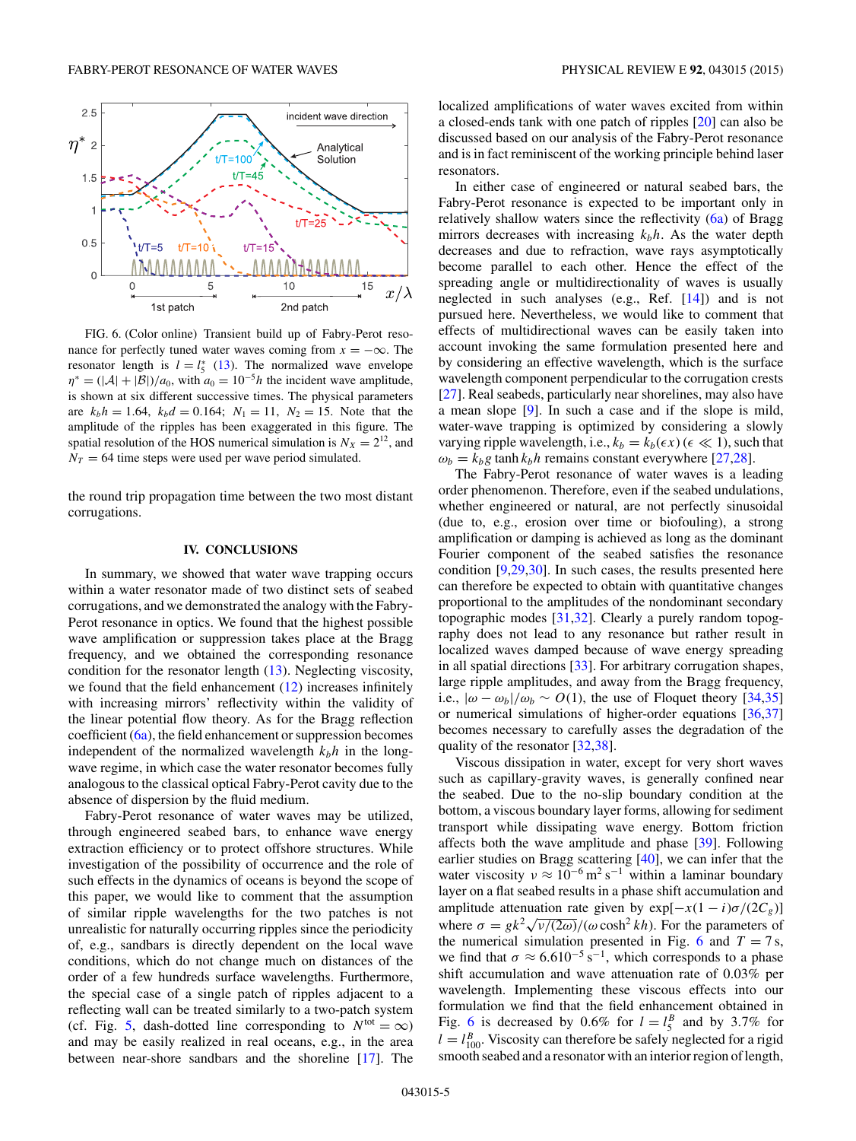<span id="page-4-0"></span>

FIG. 6. (Color online) Transient build up of Fabry-Perot resonance for perfectly tuned water waves coming from  $x = -\infty$ . The resonator length is  $l = l_5^*$  [\(13\)](#page-2-0). The normalized wave envelope  $\eta^* = (|\mathcal{A}| + |\mathcal{B}|)/a_0$ , with  $a_0 = 10^{-5}h$  the incident wave amplitude, is shown at six different successive times. The physical parameters are  $k_b h = 1.64$ ,  $k_b d = 0.164$ ;  $N_1 = 11$ ,  $N_2 = 15$ . Note that the amplitude of the ripples has been exaggerated in this figure. The spatial resolution of the HOS numerical simulation is  $N_X = 2^{12}$ , and  $N_T = 64$  time steps were used per wave period simulated.

the round trip propagation time between the two most distant corrugations.

### **IV. CONCLUSIONS**

In summary, we showed that water wave trapping occurs within a water resonator made of two distinct sets of seabed corrugations, and we demonstrated the analogy with the Fabry-Perot resonance in optics. We found that the highest possible wave amplification or suppression takes place at the Bragg frequency, and we obtained the corresponding resonance condition for the resonator length [\(13\)](#page-2-0). Neglecting viscosity, we found that the field enhancement  $(12)$  increases infinitely with increasing mirrors' reflectivity within the validity of the linear potential flow theory. As for the Bragg reflection coefficient  $(6a)$ , the field enhancement or suppression becomes independent of the normalized wavelength  $k_b h$  in the longwave regime, in which case the water resonator becomes fully analogous to the classical optical Fabry-Perot cavity due to the absence of dispersion by the fluid medium.

Fabry-Perot resonance of water waves may be utilized, through engineered seabed bars, to enhance wave energy extraction efficiency or to protect offshore structures. While investigation of the possibility of occurrence and the role of such effects in the dynamics of oceans is beyond the scope of this paper, we would like to comment that the assumption of similar ripple wavelengths for the two patches is not unrealistic for naturally occurring ripples since the periodicity of, e.g., sandbars is directly dependent on the local wave conditions, which do not change much on distances of the order of a few hundreds surface wavelengths. Furthermore, the special case of a single patch of ripples adjacent to a reflecting wall can be treated similarly to a two-patch system (cf. Fig. [5,](#page-3-0) dash-dotted line corresponding to  $N<sup>tot</sup> = \infty$ ) and may be easily realized in real oceans, e.g., in the area between near-shore sandbars and the shoreline [\[17\]](#page-6-0). The

localized amplifications of water waves excited from within a closed-ends tank with one patch of ripples [\[20\]](#page-6-0) can also be discussed based on our analysis of the Fabry-Perot resonance

and is in fact reminiscent of the working principle behind laser

resonators. In either case of engineered or natural seabed bars, the Fabry-Perot resonance is expected to be important only in relatively shallow waters since the reflectivity [\(6a\)](#page-1-0) of Bragg mirrors decreases with increasing  $k_b h$ . As the water depth decreases and due to refraction, wave rays asymptotically become parallel to each other. Hence the effect of the spreading angle or multidirectionality of waves is usually neglected in such analyses (e.g., Ref. [\[14\]](#page-6-0)) and is not pursued here. Nevertheless, we would like to comment that effects of multidirectional waves can be easily taken into account invoking the same formulation presented here and by considering an effective wavelength, which is the surface wavelength component perpendicular to the corrugation crests [\[27\]](#page-6-0). Real seabeds, particularly near shorelines, may also have a mean slope [\[9\]](#page-6-0). In such a case and if the slope is mild, water-wave trapping is optimized by considering a slowly varying ripple wavelength, i.e.,  $k_b = k_b(\epsilon x)$  ( $\epsilon \ll 1$ ), such that  $\omega_b = k_b g \tanh k_b h$  remains constant everywhere [\[27,28\]](#page-6-0).

The Fabry-Perot resonance of water waves is a leading order phenomenon. Therefore, even if the seabed undulations, whether engineered or natural, are not perfectly sinusoidal (due to, e.g., erosion over time or biofouling), a strong amplification or damping is achieved as long as the dominant Fourier component of the seabed satisfies the resonance condition [\[9,29,30\]](#page-6-0). In such cases, the results presented here can therefore be expected to obtain with quantitative changes proportional to the amplitudes of the nondominant secondary topographic modes [\[31,32\]](#page-6-0). Clearly a purely random topography does not lead to any resonance but rather result in localized waves damped because of wave energy spreading in all spatial directions [\[33\]](#page-6-0). For arbitrary corrugation shapes, large ripple amplitudes, and away from the Bragg frequency, i.e.,  $|\omega - \omega_b|/\omega_b \sim O(1)$ , the use of Floquet theory [\[34,35\]](#page-6-0) or numerical simulations of higher-order equations [\[36,37\]](#page-6-0) becomes necessary to carefully asses the degradation of the quality of the resonator [\[32,38\]](#page-6-0).

Viscous dissipation in water, except for very short waves such as capillary-gravity waves, is generally confined near the seabed. Due to the no-slip boundary condition at the bottom, a viscous boundary layer forms, allowing for sediment transport while dissipating wave energy. Bottom friction affects both the wave amplitude and phase [\[39\]](#page-6-0). Following earlier studies on Bragg scattering [\[40\]](#page-6-0), we can infer that the water viscosity  $v \approx 10^{-6}$  m<sup>2</sup> s<sup>-1</sup> within a laminar boundary layer on a flat seabed results in a phase shift accumulation and amplitude attenuation rate given by  $exp[-x(1 - i)\sigma/(2C_g)]$ where  $\sigma = g k^2 \sqrt{\nu/(2\omega)}/(\omega \cosh^2 kh)$ . For the parameters of the numerical simulation presented in Fig. 6 and  $T = 7$  s, we find that  $\sigma \approx 6.610^{-5} \text{ s}^{-1}$ , which corresponds to a phase shift accumulation and wave attenuation rate of 0*.*03% per wavelength. Implementing these viscous effects into our formulation we find that the field enhancement obtained in Fig. 6 is decreased by 0.6% for  $l = l_5^B$  and by 3.7% for  $l = l_{100}^{B}$ . Viscosity can therefore be safely neglected for a rigid smooth seabed and a resonator with an interior region of length,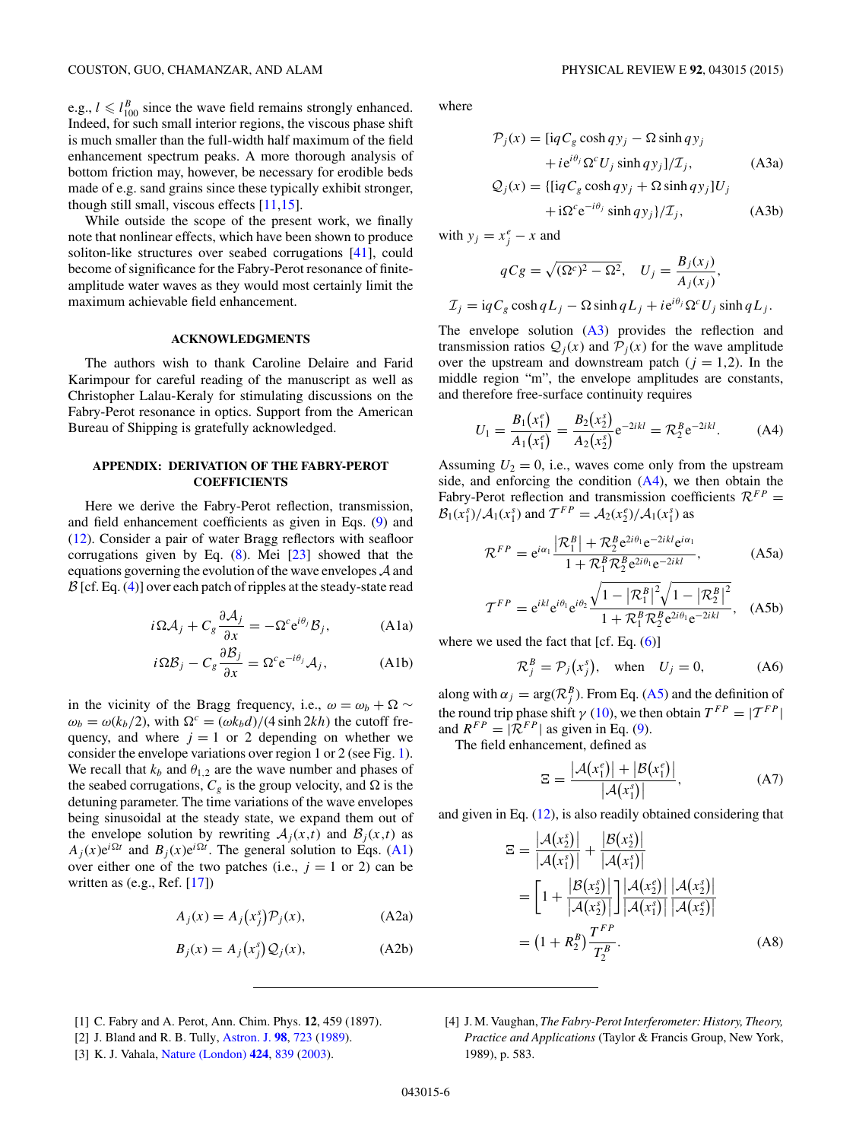<span id="page-5-0"></span>e.g.,  $l \leq l_{100}^B$  since the wave field remains strongly enhanced. Indeed, for such small interior regions, the viscous phase shift is much smaller than the full-width half maximum of the field enhancement spectrum peaks. A more thorough analysis of bottom friction may, however, be necessary for erodible beds made of e.g. sand grains since these typically exhibit stronger, though still small, viscous effects [\[11,15\]](#page-6-0).

While outside the scope of the present work, we finally note that nonlinear effects, which have been shown to produce soliton-like structures over seabed corrugations [\[41\]](#page-6-0), could become of significance for the Fabry-Perot resonance of finiteamplitude water waves as they would most certainly limit the maximum achievable field enhancement.

## **ACKNOWLEDGMENTS**

The authors wish to thank Caroline Delaire and Farid Karimpour for careful reading of the manuscript as well as Christopher Lalau-Keraly for stimulating discussions on the Fabry-Perot resonance in optics. Support from the American Bureau of Shipping is gratefully acknowledged.

# **APPENDIX: DERIVATION OF THE FABRY-PEROT COEFFICIENTS**

Here we derive the Fabry-Perot reflection, transmission, and field enhancement coefficients as given in Eqs. [\(9\)](#page-2-0) and [\(12\)](#page-2-0). Consider a pair of water Bragg reflectors with seafloor corrugations given by Eq.  $(8)$ . Mei  $[23]$  showed that the equations governing the evolution of the wave envelopes  $A$  and  $\mathcal{B}$  [cf. Eq. [\(4\)](#page-1-0)] over each patch of ripples at the steady-state read

$$
i\Omega A_j + C_g \frac{\partial A_j}{\partial x} = -\Omega^c e^{i\theta_j} B_j,
$$
 (A1a)

$$
i\Omega B_j - C_g \frac{\partial B_j}{\partial x} = \Omega^c e^{-i\theta_j} A_j,
$$
 (A1b)

in the vicinity of the Bragg frequency, i.e.,  $\omega = \omega_b + \Omega \sim$  $\omega_b = \omega(k_b/2)$ , with  $\Omega^c = (\omega k_b d)/(4 \sinh 2kh)$  the cutoff frequency, and where  $j = 1$  or 2 depending on whether we consider the envelope variations over region 1 or 2 (see Fig. [1\)](#page-1-0). We recall that  $k_b$  and  $\theta_{1,2}$  are the wave number and phases of the seabed corrugations,  $C_g$  is the group velocity, and  $\Omega$  is the detuning parameter. The time variations of the wave envelopes being sinusoidal at the steady state, we expand them out of the envelope solution by rewriting  $A_j(x,t)$  and  $B_j(x,t)$  as  $A_j(x)e^{i\Omega t}$  and  $B_j(x)e^{i\Omega t}$ . The general solution to Eqs. (A1) over either one of the two patches (i.e.,  $j = 1$  or 2) can be written as (e.g., Ref. [\[17\]](#page-6-0))

$$
A_j(x) = A_j(x_j^s) \mathcal{P}_j(x), \tag{A2a}
$$

$$
B_j(x) = A_j(x_j^s) \mathcal{Q}_j(x), \tag{A2b}
$$

where

$$
\mathcal{P}_j(x) = \left[ i q C_g \cosh q y_j - \Omega \sinh q y_j \right. \n+ i e^{i\theta_j} \Omega^c U_j \sinh q y_j \Big] / \mathcal{I}_j, \tag{A3a}
$$
\n
$$
\mathcal{Q}_j(x) = \left\{ \left[ i q C_g \cosh q y_j + \Omega \sinh q y_j \right] U_j \right. \n+ i \Omega^c e^{-i\theta_j} \sinh q y_j \Big\} / \mathcal{I}_j, \tag{A3b}
$$

with  $y_j = x_j^e - x$  and

$$
qCg = \sqrt{(\Omega^c)^2 - \Omega^2}, \quad U_j = \frac{B_j(x_j)}{A_j(x_j)},
$$

$$
\mathcal{I}_j = \mathrm{i}qC_g\cosh qL_j - \Omega\sinh qL_j + i\mathrm{e}^{i\theta_j}\Omega^cU_j\sinh qL_j.
$$

The envelope solution  $(A3)$  provides the reflection and transmission ratios  $Q_i(x)$  and  $P_i(x)$  for the wave amplitude over the upstream and downstream patch  $(j = 1,2)$ . In the middle region "m", the envelope amplitudes are constants, and therefore free-surface continuity requires

$$
U_1 = \frac{B_1(x_1^e)}{A_1(x_1^e)} = \frac{B_2(x_2^s)}{A_2(x_2^s)} e^{-2ikl} = \mathcal{R}_2^B e^{-2ikl}.
$$
 (A4)

Assuming  $U_2 = 0$ , i.e., waves come only from the upstream side, and enforcing the condition (A4), we then obtain the Fabry-Perot reflection and transmission coefficients  $\mathcal{R}^{FP}$  =  $\mathcal{B}_1(x_1^s)/\mathcal{A}_1(x_1^s)$  and  $\mathcal{T}^{FP} = \mathcal{A}_2(x_2^e)/\mathcal{A}_1(x_1^s)$  as

$$
\mathcal{R}^{FP} = e^{i\alpha_1} \frac{|\mathcal{R}_1^B| + \mathcal{R}_2^B e^{2i\theta_1} e^{-2ikl} e^{i\alpha_1}}{1 + \mathcal{R}_1^B \mathcal{R}_2^B e^{2i\theta_1} e^{-2ikl}},
$$
 (A5a)

$$
\mathcal{T}^{FP} = e^{ikl} e^{i\theta_1} e^{i\theta_2} \frac{\sqrt{1 - |\mathcal{R}_1^B|^2} \sqrt{1 - |\mathcal{R}_2^B|^2}}{1 + \mathcal{R}_1^B \mathcal{R}_2^B e^{2i\theta_1} e^{-2ikl}}, \quad (A5b)
$$

where we used the fact that  $[cf. Eq. (6)]$  $[cf. Eq. (6)]$  $[cf. Eq. (6)]$ 

$$
\mathcal{R}_j^B = \mathcal{P}_j(x_j^s), \quad \text{when} \quad U_j = 0,
$$
 (A6)

along with  $\alpha_j = \arg(\mathcal{R}_j^B)$ . From Eq. (A5) and the definition of the round trip phase shift  $\gamma$  [\(10\)](#page-2-0), we then obtain  $T^{FP} = |T^{FP}|$ and  $R^{FP} = |\mathcal{R}^{FP}|$  as given in Eq. [\(9\)](#page-2-0).

The field enhancement, defined as

$$
\Xi = \frac{|\mathcal{A}(x_1^e)| + |\mathcal{B}(x_1^e)|}{|\mathcal{A}(x_1^s)|},\tag{A7}
$$

and given in Eq.  $(12)$ , is also readily obtained considering that

$$
\mathbf{E} = \frac{|\mathcal{A}(x_2^s)|}{|\mathcal{A}(x_1^s)|} + \frac{|\mathcal{B}(x_2^s)|}{|\mathcal{A}(x_1^s)|} \n= \left[1 + \frac{|\mathcal{B}(x_2^s)|}{|\mathcal{A}(x_2^s)|}\right] \frac{|\mathcal{A}(x_2^s)|}{|\mathcal{A}(x_1^s)|} \frac{|\mathcal{A}(x_2^s)|}{|\mathcal{A}(x_2^s)|} \n= (1 + R_2^B) \frac{T^F}{T_2^B}.
$$
\n(A8)

- [1] C. Fabry and A. Perot, Ann. Chim. Phys. **12**, 459 (1897).
- [2] J. Bland and R. B. Tully, [Astron. J.](http://dx.doi.org/10.1086/115173) **[98](http://dx.doi.org/10.1086/115173)**, [723](http://dx.doi.org/10.1086/115173) [\(1989\)](http://dx.doi.org/10.1086/115173).
- [3] K. J. Vahala, [Nature \(London\)](http://dx.doi.org/10.1038/nature01939) **[424](http://dx.doi.org/10.1038/nature01939)**, [839](http://dx.doi.org/10.1038/nature01939) [\(2003\)](http://dx.doi.org/10.1038/nature01939).
- [4] J. M. Vaughan, *The Fabry-Perot Interferometer: History, Theory, Practice and Applications* (Taylor & Francis Group, New York, 1989), p. 583.